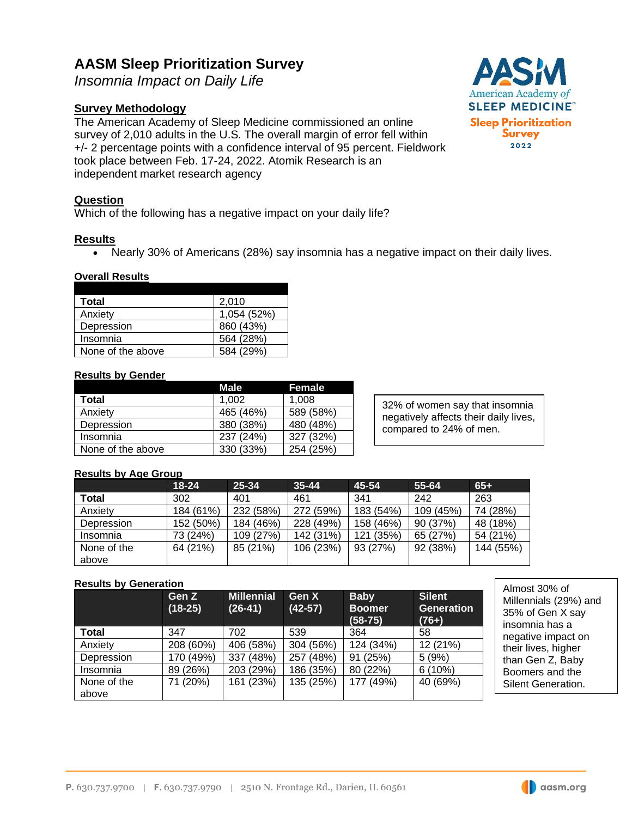# **AASM Sleep Prioritization Survey**

*Insomnia Impact on Daily Life*

# **Survey Methodology**

The American Academy of Sleep Medicine commissioned an online survey of 2,010 adults in the U.S. The overall margin of error fell within +/- 2 percentage points with a confidence interval of 95 percent. Fieldwork took place between Feb. 17-24, 2022. Atomik Research is an independent market research agency

## **Question**

Which of the following has a negative impact on your daily life?

### **Results**

• Nearly 30% of Americans (28%) say insomnia has a negative impact on their daily lives.

#### **Overall Results**

| Total             | 2.010       |
|-------------------|-------------|
| Anxiety           | 1,054 (52%) |
| Depression        | 860 (43%)   |
| Insomnia          | 564 (28%)   |
| None of the above | (29%)       |

#### **Results by Gender**

|                   | Male      | Female    |
|-------------------|-----------|-----------|
| Total             | 1.002     | 1.008     |
| Anxiety           | 465 (46%) | 589 (58%) |
| Depression        | 380 (38%) | 480 (48%) |
| Insomnia          | 237 (24%) | 327 (32%) |
| None of the above | 330 (33%) | 254 (25%) |

32% of women say that insomnia negatively affects their daily lives, compared to 24% of men.

#### **Results by Age Group**

|             | $18 - 24$ | 25-34     | $35 - 44$ | 45-54     | 55-64     | $65+$     |
|-------------|-----------|-----------|-----------|-----------|-----------|-----------|
| Total       | 302       | 401       | 461       | 341       | 242       | 263       |
| Anxiety     | 184 (61%) | 232 (58%) | 272 (59%) | 183 (54%) | 109 (45%) | 74 (28%)  |
| Depression  | 152 (50%) | 184 (46%) | 228 (49%) | 158 (46%) | 90 (37%)  | 48 (18%)  |
| Insomnia    | 73 (24%)  | 109 (27%) | 142 (31%) | 121 (35%) | 65(27%)   | 54 (21%)  |
| None of the | 64 (21%)  | 85 (21%)  | 106 (23%) | 93 (27%)  | 92 (38%)  | 144 (55%) |
| above       |           |           |           |           |           |           |

#### **Results by Generation**

|                      | Gen Z<br>$(18-25)$ | <b>Millennial</b><br>$(26-41)$ | <b>Gen X</b><br>$(42-57)$ | <b>Baby</b><br><b>Boomer</b><br>$(58-75)$ | <b>Silent</b><br><b>Generation</b><br>$(76+)$ |
|----------------------|--------------------|--------------------------------|---------------------------|-------------------------------------------|-----------------------------------------------|
| Total                | 347                | 702                            | 539                       | 364                                       | 58                                            |
| Anxiety              | 208 (60%)          | 406 (58%)                      | 304 (56%)                 | 124 (34%)                                 | 12 (21%)                                      |
| Depression           | 170 (49%)          | (48%)<br>337                   | 257 (48%)                 | 91 (25%)                                  | 5(9%)                                         |
| Insomnia             | 89 (26%)           | 203 (29%)                      | 186 (35%)                 | 80 (22%)                                  | 6(10%)                                        |
| None of the<br>above | 71 (20%)           | 161 (23%)                      | 135 (25%)                 | 177 (49%)                                 | 40 (69%)                                      |

Almost 30% of Millennials (29%) and 35% of Gen X say insomnia has a negative impact on their lives, higher than Gen Z, Baby Boomers and the Silent Generation.